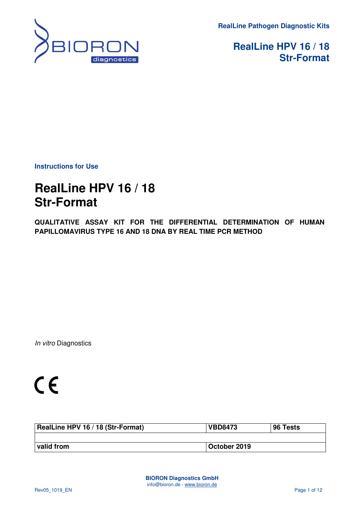**RealLine Pathogen Diagnostic Kits** 



**RealLine HPV 16 / 18 Str-Format** 

**Instructions for Use** 

# **RealLine HPV 16 / 18 Str-Format**

**QUALITATIVE ASSAY KIT FOR THE DIFFERENTIAL DETERMINATION OF HUMAN PAPILLOMAVIRUS TYPE 16 AND 18 DNA BY REAL TIME PCR METHOD** 

In vitro Diagnostics

| RealLine HPV 16 / 18 (Str-Format) | <b>VBD8473</b> | 96 Tests |
|-----------------------------------|----------------|----------|
|                                   |                |          |
| valid from                        | October 2019   |          |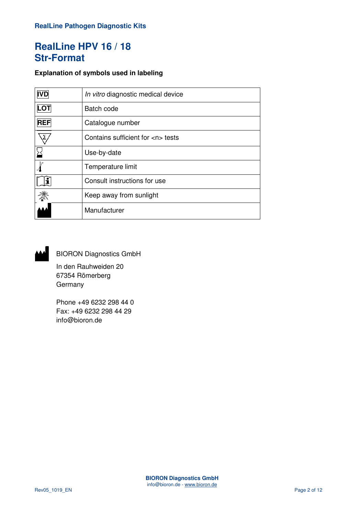### **Explanation of symbols used in labeling**

| <b>IVD</b> | In vitro diagnostic medical device    |  |
|------------|---------------------------------------|--|
| LOT        | Batch code                            |  |
| <b>REF</b> | Catalogue number                      |  |
|            | Contains sufficient for <n> tests</n> |  |
|            | Use-by-date                           |  |
|            | Temperature limit                     |  |
|            | Consult instructions for use          |  |
|            | Keep away from sunlight               |  |
|            | Manufacturer                          |  |



BIORON Diagnostics GmbH

 In den Rauhweiden 20 67354 Römerberg Germany

Phone +49 6232 298 44 0 Fax: +49 6232 298 44 29 info@bioron.de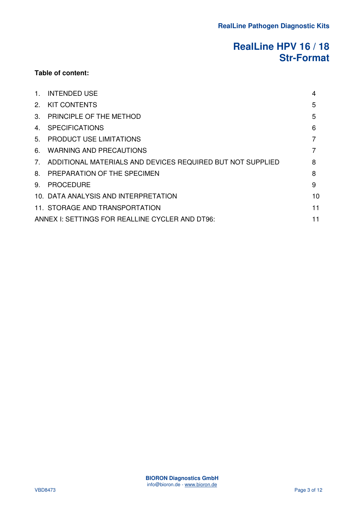### **Table of content:**

| $1_{-}$ | <b>INTENDED USE</b>                                           | 4  |
|---------|---------------------------------------------------------------|----|
|         | 2. KIT CONTENTS                                               | 5  |
| $3_{-}$ | <b>PRINCIPLE OF THE METHOD</b>                                | 5  |
|         | 4. SPECIFICATIONS                                             | 6  |
|         | 5. PRODUCT USE LIMITATIONS                                    |    |
| 6.      | <b>WARNING AND PRECAUTIONS</b>                                | 7  |
|         | 7. ADDITIONAL MATERIALS AND DEVICES REQUIRED BUT NOT SUPPLIED | 8  |
|         | 8. PREPARATION OF THE SPECIMEN                                | 8  |
| 9.      | <b>PROCEDURE</b>                                              | 9  |
|         | 10. DATA ANALYSIS AND INTERPRETATION                          | 10 |
|         | 11. STORAGE AND TRANSPORTATION                                | 11 |
|         | ANNEX I: SETTINGS FOR REALLINE CYCLER AND DT96:               | 11 |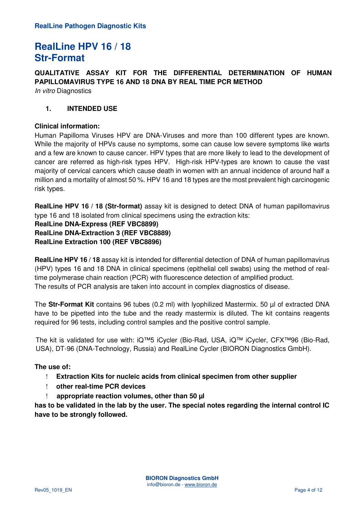**QUALITATIVE ASSAY KIT FOR THE DIFFERENTIAL DETERMINATION OF HUMAN PAPILLOMAVIRUS TYPE 16 AND 18 DNA BY REAL TIME PCR METHOD**  In vitro Diagnostics

### **1. INTENDED USE**

#### **Clinical information:**

Human Papilloma Viruses HPV are DNA-Viruses and more than 100 different types are known. While the majority of HPVs cause no symptoms, some can cause low severe symptoms like warts and a few are known to cause cancer. HPV types that are more likely to lead to the development of cancer are referred as high-risk types HPV. High-risk HPV-types are known to cause the vast majority of cervical cancers which cause death in women with an annual incidence of around half a million and a mortality of almost 50 %. HPV 16 and 18 types are the most prevalent high carcinogenic risk types.

**RealLine HPV 16 / 18 (Str-format)** assay kit is designed to detect DNA of human papillomavirus type 16 and 18 isolated from clinical specimens using the extraction kits:

**RealLine DNA-Express (REF VBC8899) RealLine DNA-Extraction 3 (REF VBC8889) RealLine Extraction 100 (REF VBC8896)**

**RealLine HPV 16 / 18** assay kit is intended for differential detection of DNA of human papillomavirus (HPV) types 16 and 18 DNA in clinical specimens (epithelial cell swabs) using the method of realtime polymerase chain reaction (PCR) with fluorescence detection of amplified product. The results of PCR analysis are taken into account in complex diagnostics of disease.

The **Str-Format Kit** contains 96 tubes (0.2 ml) with lyophilized Mastermix. 50 µl of extracted DNA have to be pipetted into the tube and the ready mastermix is diluted. The kit contains reagents required for 96 tests, including control samples and the positive control sample.

The kit is validated for use with: iQ™5 iCycler (Bio-Rad, USA, iQ™ iCycler, CFX™96 (Bio-Rad, USA), DT-96 (DNA-Technology, Russia) and RealLine Cycler (BIORON Diagnostics GmbH).

#### **The use of:**

- ! **Extraction Kits for nucleic acids from clinical specimen from other supplier**
- ! **other real-time PCR devices**
- ! **appropriate reaction volumes, other than 50 µl**

**has to be validated in the lab by the user. The special notes regarding the internal control IC have to be strongly followed.**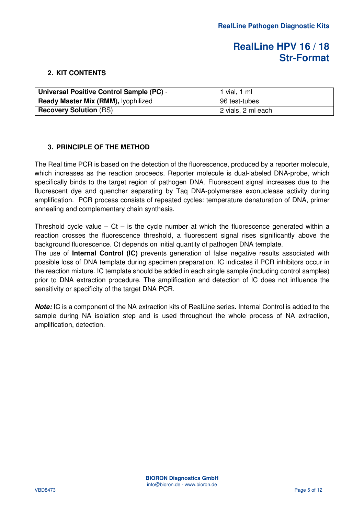### **2. KIT CONTENTS**

| Universal Positive Control Sample (PC) - | 1 vial, 1 ml       |
|------------------------------------------|--------------------|
| Ready Master Mix (RMM), lyophilized      | 96 test-tubes      |
| <b>Recovery Solution (RS)</b>            | 2 vials, 2 ml each |

### **3. PRINCIPLE OF THE METHOD**

The Real time PCR is based on the detection of the fluorescence, produced by a reporter molecule, which increases as the reaction proceeds. Reporter molecule is dual-labeled DNA-probe, which specifically binds to the target region of pathogen DNA. Fluorescent signal increases due to the fluorescent dye and quencher separating by Taq DNA-polymerase exonuclease activity during amplification. PCR process consists of repeated cycles: temperature denaturation of DNA, primer annealing and complementary chain synthesis.

Threshold cycle value –  $Ct$  – is the cycle number at which the fluorescence generated within a reaction crosses the fluorescence threshold, a fluorescent signal rises significantly above the background fluorescence. Ct depends on initial quantity of pathogen DNA template.

The use of **Internal Control (IC)** prevents generation of false negative results associated with possible loss of DNA template during specimen preparation. IC indicates if PCR inhibitors occur in the reaction mixture. IC template should be added in each single sample (including control samples) prior to DNA extraction procedure. The amplification and detection of IC does not influence the sensitivity or specificity of the target DNA PCR.

**Note:** IC is a component of the NA extraction kits of RealLine series. Internal Control is added to the sample during NA isolation step and is used throughout the whole process of NA extraction, amplification, detection.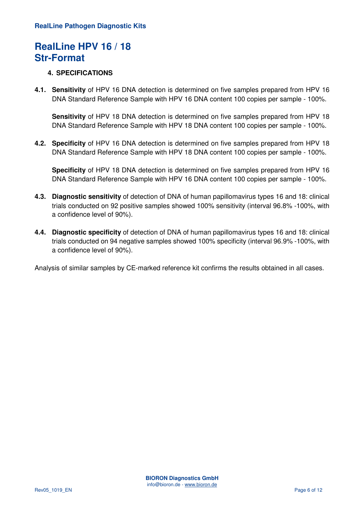### **4. SPECIFICATIONS**

**4.1. Sensitivity** of HPV 16 DNA detection is determined on five samples prepared from HPV 16 DNA Standard Reference Sample with HPV 16 DNA content 100 copies per sample - 100%.

**Sensitivity** of HPV 18 DNA detection is determined on five samples prepared from HPV 18 DNA Standard Reference Sample with HPV 18 DNA content 100 copies per sample - 100%.

**4.2. Specificity** of HPV 16 DNA detection is determined on five samples prepared from HPV 18 DNA Standard Reference Sample with HPV 18 DNA content 100 copies per sample - 100%.

**Specificity** of HPV 18 DNA detection is determined on five samples prepared from HPV 16 DNA Standard Reference Sample with HPV 16 DNA content 100 copies per sample - 100%.

- **4.3. Diagnostic sensitivity** of detection of DNA of human papillomavirus types 16 and 18: clinical trials conducted on 92 positive samples showed 100% sensitivity (interval 96.8% -100%, with a confidence level of 90%).
- **4.4. Diagnostic specificity** of detection of DNA of human papillomavirus types 16 and 18: clinical trials conducted on 94 negative samples showed 100% specificity (interval 96.9% -100%, with a confidence level of 90%).

Analysis of similar samples by CE-marked reference kit confirms the results obtained in all cases.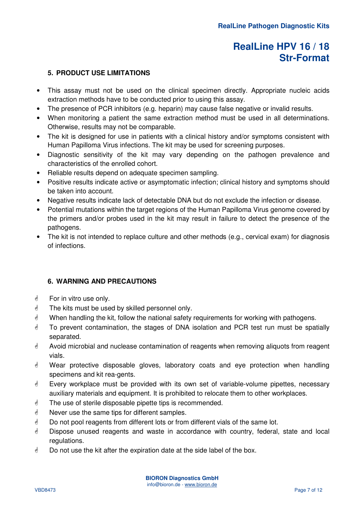### **5. PRODUCT USE LIMITATIONS**

- This assay must not be used on the clinical specimen directly. Appropriate nucleic acids extraction methods have to be conducted prior to using this assay.
- The presence of PCR inhibitors (e.g. heparin) may cause false negative or invalid results.
- When monitoring a patient the same extraction method must be used in all determinations. Otherwise, results may not be comparable.
- The kit is designed for use in patients with a clinical history and/or symptoms consistent with Human Papilloma Virus infections. The kit may be used for screening purposes.
- Diagnostic sensitivity of the kit may vary depending on the pathogen prevalence and characteristics of the enrolled cohort.
- Reliable results depend on adequate specimen sampling.
- Positive results indicate active or asymptomatic infection; clinical history and symptoms should be taken into account.
- Negative results indicate lack of detectable DNA but do not exclude the infection or disease.
- Potential mutations within the target regions of the Human Papilloma Virus genome covered by the primers and/or probes used in the kit may result in failure to detect the presence of the pathogens.
- The kit is not intended to replace culture and other methods (e.g., cervical exam) for diagnosis of infections.

### **6. WARNING AND PRECAUTIONS**

- For in vitro use only.
- **The kits must be used by skilled personnel only.**
- $\mathcal Y$  When handling the kit, follow the national safety requirements for working with pathogens.
- **To prevent contamination, the stages of DNA isolation and PCR test run must be spatially** separated.
- **A** Avoid microbial and nuclease contamination of reagents when removing aliquots from reagent vials.
- Wear protective disposable gloves, laboratory coats and eye protection when handling specimens and kit rea-gents.
- **Every workplace must be provided with its own set of variable-volume pipettes, necessary** auxiliary materials and equipment. It is prohibited to relocate them to other workplaces.
- **The use of sterile disposable pipette tips is recommended.**
- **Never use the same tips for different samples.**
- **Do not pool reagents from different lots or from different vials of the same lot.**
- **Dispose unused reagents and waste in accordance with country, federal, state and local** regulations.
- $\phi$  Do not use the kit after the expiration date at the side label of the box.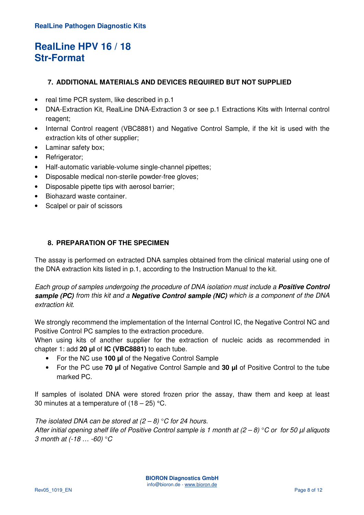### **7. ADDITIONAL MATERIALS AND DEVICES REQUIRED BUT NOT SUPPLIED**

- real time PCR system, like described in p.1
- DNA-Extraction Kit, RealLine DNA-Extraction 3 or see p.1 Extractions Kits with Internal control reagent;
- Internal Control reagent (VBC8881) and Negative Control Sample, if the kit is used with the extraction kits of other supplier;
- Laminar safety box;
- Refrigerator;
- Half-automatic variable-volume single-channel pipettes;
- Disposable medical non-sterile powder-free gloves;
- Disposable pipette tips with aerosol barrier;
- Biohazard waste container.
- Scalpel or pair of scissors

### **8. PREPARATION OF THE SPECIMEN**

The assay is performed on extracted DNA samples obtained from the clinical material using one of the DNA extraction kits listed in p.1, according to the Instruction Manual to the kit.

Each group of samples undergoing the procedure of DNA isolation must include a **Positive Control sample (PC)** from this kit and a **Negative Control sample (NC)** which is a component of the DNA extraction kit.

We strongly recommend the implementation of the Internal Control IC, the Negative Control NC and Positive Control PC samples to the extraction procedure.

When using kits of another supplier for the extraction of nucleic acids as recommended in chapter 1: add **20 μl** of **IC (VBC8881)** to each tube.

- For the NC use **100 µl** of the Negative Control Sample
- For the PC use **70 μl** of Negative Control Sample and **30 μl** of Positive Control to the tube marked PC.

If samples of isolated DNA were stored frozen prior the assay, thaw them and keep at least 30 minutes at a temperature of  $(18 – 25)$  °C.

#### The isolated DNA can be stored at  $(2 - 8)$  °C for 24 hours.

After initial opening shelf life of Positive Control sample is 1 month at  $(2-8) °C$  or for 50  $\mu$ l aliquots 3 month at (-18 … -60) °C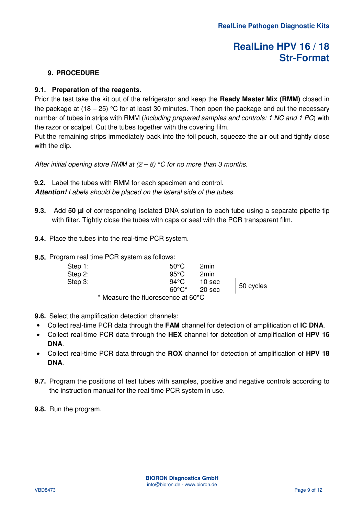### **9. PROCEDURE**

### **9.1. Preparation of the reagents.**

Prior the test take the kit out of the refrigerator and keep the **Ready Master Mix (RMM)** closed in the package at  $(18 - 25)$  °C for at least 30 minutes. Then open the package and cut the necessary number of tubes in strips with RMM (including prepared samples and controls: 1 NC and 1 PC) with the razor or scalpel. Cut the tubes together with the covering film.

Put the remaining strips immediately back into the foil pouch, squeeze the air out and tightly close with the clip.

After initial opening store RMM at  $(2 – 8) °C$  for no more than 3 months.

**9.2.** Label the tubes with RMM for each specimen and control.

**Attention!** Labels should be placed on the lateral side of the tubes.

- **9.3.** Add **50 µl** of corresponding isolated DNA solution to each tube using a separate pipette tip with filter. Tightly close the tubes with caps or seal with the PCR transparent film.
- **9.4.** Place the tubes into the real-time PCR system.
- **9.5.** Program real time PCR system as follows:

| Step 1:<br>Step 2: |                                    | $50^{\circ}$ C<br>$95^{\circ}$ C | 2min<br>2min      |           |
|--------------------|------------------------------------|----------------------------------|-------------------|-----------|
| Step 3:            |                                    | 94°C                             | 10 <sub>sec</sub> | 50 cycles |
|                    |                                    | $60^{\circ}$ C*                  | 20 sec            |           |
|                    | * Measure the fluorescence at 60°C |                                  |                   |           |

- **9.6.** Select the amplification detection channels:
- Collect real-time PCR data through the **FAM** channel for detection of amplification of **IC DNA**.
- Collect real-time PCR data through the **HEX** channel for detection of amplification of **HPV 16 DNA**.
- Collect real-time PCR data through the **ROX** channel for detection of amplification of **HPV 18 DNA**.
- **9.7.** Program the positions of test tubes with samples, positive and negative controls according to the instruction manual for the real time PCR system in use.
- **9.8.** Run the program.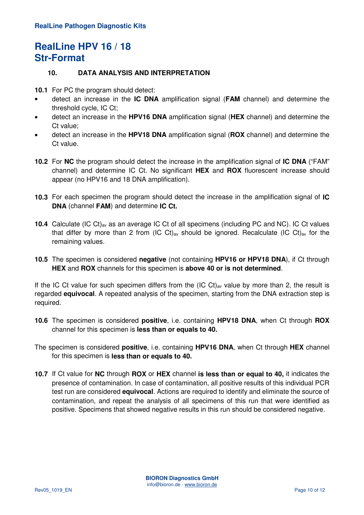### **10. DATA ANALYSIS AND INTERPRETATION**

**10.1** For PC the program should detect:

- detect an increase in the **IC DNA** amplification signal (**FAM** channel) and determine the threshold cycle, IC Ct;
- detect an increase in the **HPV16 DNA** amplification signal (**HEX** channel) and determine the Ct value;
- detect an increase in the **HPV18 DNA** amplification signal (**ROX** channel) and determine the Ct value.
- **10.2** For **NC** the program should detect the increase in the amplification signal of **IC DNA** ("FAM" channel) and determine IC Ct. No significant **HEX** and **ROX** fluorescent increase should appear (no HPV16 and 18 DNA amplification).
- **10.3** For each specimen the program should detect the increase in the amplification signal of **IC DNA** (channel **FAM**) and determine **IC Ct.**
- **10.4** Calculate (IC Сt)av as an average IC Сt of all specimens (including PC and NC). IC Ct values that differ by more than 2 from (IC Ct)<sub>av</sub> should be ignored. Recalculate (IC Ct)<sub>av</sub> for the remaining values.
- **10.5** The specimen is considered **negative** (not containing **HPV16 or HPV18 DNA**), if Ct through **HEX** and **ROX** channels for this specimen is **above 40 or is not determined**.

If the IC Ct value for such specimen differs from the  $(IC Ct)_{av}$  value by more than 2, the result is regarded **equivocal**. A repeated analysis of the specimen, starting from the DNA extraction step is required.

- **10.6** The specimen is considered **positive**, i.e. containing **HPV18 DNA**, when Ct through **ROX** channel for this specimen is **less than or equals to 40.**
- The specimen is considered **positive**, i.e. containing **HPV16 DNA**, when Ct through **HEX** channel for this specimen is **less than or equals to 40.**
- **10.7** If Ct value for **NC** through **ROX** or **HEX** channel **is less than or equal to 40,** it indicates the presence of contamination. In case of contamination, all positive results of this individual PCR test run are considered **equivocal**. Actions are required to identify and eliminate the source of contamination, and repeat the analysis of all specimens of this run that were identified as positive. Specimens that showed negative results in this run should be considered negative.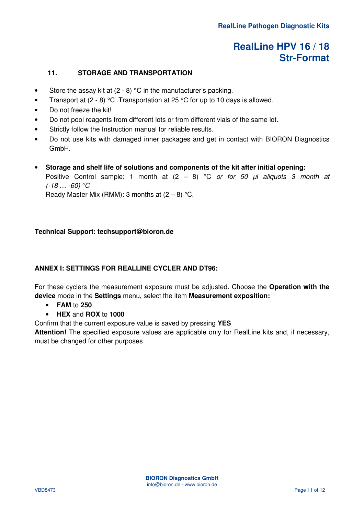### **11. STORAGE AND TRANSPORTATION**

- Store the assay kit at  $(2 8)$  °C in the manufacturer's packing.
- Transport at  $(2 8)$  °C. Transportation at 25 °C for up to 10 days is allowed.
- Do not freeze the kit!
- Do not pool reagents from different lots or from different vials of the same lot.
- Strictly follow the Instruction manual for reliable results.
- Do not use kits with damaged inner packages and get in contact with BIORON Diagnostics GmbH.
- **Storage and shelf life of solutions and components of the kit after initial opening:**  Positive Control sample: 1 month at  $(2 - 8)$  °C or for 50  $\mu$ l aliquots 3 month at  $(-18... -60)$  °C Ready Master Mix (RMM): 3 months at  $(2-8)$  °C.

#### **Technical Support: techsupport@bioron.de**

#### **ANNEX I: SETTINGS FOR REALLINE CYCLER AND DT96:**

For these cyclers the measurement exposure must be adjusted. Choose the **Operation with the device** mode in the **Settings** menu, select the item **Measurement exposition:** 

- **FAM** to **250**
- **HEX** and **ROX** to **1000**

Confirm that the current exposure value is saved by pressing **YES** 

**Attention!** The specified exposure values are applicable only for RealLine kits and, if necessary, must be changed for other purposes.